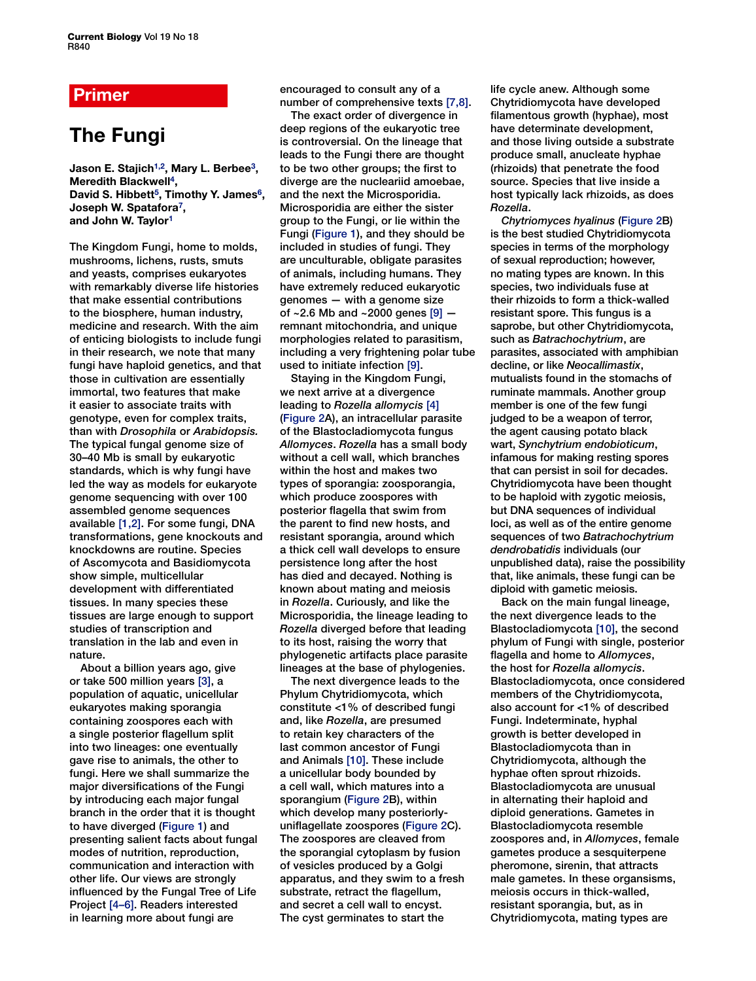# **The Fungi**

**Jason E. Stajich[1,2,](#page-5-0) Mary L. Berbe[e3,](#page-5-0) Meredith Blackwell[4,](#page-5-0) David S. Hibbet[t5,](#page-5-0) Timothy Y. Jame[s6,](#page-5-0) Joseph W. Spatafor[a7,](#page-5-0) and John W. Taylo[r1](#page-5-0)**

The Kingdom Fungi, home to molds, mushrooms, lichens, rusts, smuts and yeasts, comprises eukaryotes with remarkably diverse life histories that make essential contributions to the biosphere, human industry, medicine and research. With the aim of enticing biologists to include fungi in their research, we note that many fungi have haploid genetics, and that those in cultivation are essentially immortal, two features that make it easier to associate traits with genotype, even for complex traits, than with *Drosophila* or *Arabidopsis.*  The typical fungal genome size of 30–40 Mb is small by eukaryotic standards, which is why fungi have led the way as models for eukaryote genome sequencing with over 100 assembled genome sequences available [\[1,2\].](#page-5-0) For some fungi, DNA transformations, gene knockouts and knockdowns are routine. Species of Ascomycota and Basidiomycota show simple, multicellular development with differentiated tissues. In many species these tissues are large enough to support studies of transcription and translation in the lab and even in nature.

About a billion years ago, give or take 500 million years [\[3\]](#page-5-0), a population of aquatic, unicellular eukaryotes making sporangia containing zoospores each with a single posterior flagellum split into two lineages: one eventually gave rise to animals, the other to fungi. Here we shall summarize the major diversifications of the Fungi by introducing each major fungal branch in the order that it is thought to have diverged [\(Figure 1\)](#page-1-0) and presenting salient facts about fungal modes of nutrition, reproduction, communication and interaction with other life. Our views are strongly influenced by the Fungal Tree of Life Project [\[4–6\]](#page-5-0). Readers interested in learning more about fungi are

**Primer Primer Example 2014 Example 2015 Consult any of a** life cycle anew. Although some intervals and pumpler of comprehensive texts [7,8] Chytridiomycota have develope number of comprehensive texts [\[7,8\].](#page-5-0)

The exact order of divergence in deep regions of the eukaryotic tree is controversial. On the lineage that leads to the Fungi there are thought to be two other groups; the first to diverge are the nucleariid amoebae, and the next the Microsporidia. Microsporidia are either the sister group to the Fungi, or lie within the Fungi [\(Figure 1\)](#page-1-0), and they should be included in studies of fungi. They are unculturable, obligate parasites of animals, including humans. They have extremely reduced eukaryotic genomes — with a genome size of  $\sim$  2.6 Mb and  $\sim$  2000 genes [\[9\]](#page-5-0)  $$ remnant mitochondria, and unique morphologies related to parasitism, including a very frightening polar tube used to initiate infection [\[9\]](#page-5-0).

Staying in the Kingdom Fungi, we next arrive at a divergence leading to *Rozella allomycis* [\[4\]](#page-5-0) [\(Figure 2A\),](#page-3-0) an intracellular parasite of the Blastocladiomycota fungus *Allomyces*. *Rozella* has a small body without a cell wall, which branches within the host and makes two types of sporangia: zoosporangia, which produce zoospores with posterior flagella that swim from the parent to find new hosts, and resistant sporangia, around which a thick cell wall develops to ensure persistence long after the host has died and decayed. Nothing is known about mating and meiosis in *Rozella*. Curiously, and like the Microsporidia, the lineage leading to *Rozella* diverged before that leading to its host, raising the worry that phylogenetic artifacts place parasite lineages at the base of phylogenies.

The next divergence leads to the Phylum Chytridiomycota, which constitute <1% of described fungi and, like *Rozella*, are presumed to retain key characters of the last common ancestor of Fungi and Animals [\[10\].](#page-5-0) These include a unicellular body bounded by a cell wall, which matures into a sporangium [\(Figure 2B\)](#page-3-0), within which develop many posteriorlyuniflagellate zoospores [\(Figure](#page-3-0) 2C). The zoospores are cleaved from the sporangial cytoplasm by fusion of vesicles produced by a Golgi apparatus, and they swim to a fresh substrate, retract the flagellum, and secret a cell wall to encyst. The cyst germinates to start the

Chytridiomycota have developed filamentous growth (hyphae), most have determinate development, and those living outside a substrate produce small, anucleate hyphae (rhizoids) that penetrate the food source. Species that live inside a host typically lack rhizoids, as does *Rozella*.

*Chytriomyces hyalinus* [\(Figure 2B\)](#page-3-0) is the best studied Chytridiomycota species in terms of the morphology of sexual reproduction; however, no mating types are known. In this species, two individuals fuse at their rhizoids to form a thick-walled resistant spore. This fungus is a saprobe, but other Chytridiomycota, such as *Batrachochytrium*, are parasites, associated with amphibian decline, or like *Neocallimastix*, mutualists found in the stomachs of ruminate mammals. Another group member is one of the few fungi judged to be a weapon of terror, the agent causing potato black wart, *Synchytrium endobioticum*, infamous for making resting spores that can persist in soil for decades. Chytridiomycota have been thought to be haploid with zygotic meiosis, but DNA sequences of individual loci, as well as of the entire genome sequences of two *Batrachochytrium dendrobatidis* individuals (our unpublished data), raise the possibility that, like animals, these fungi can be diploid with gametic meiosis.

Back on the main fungal lineage, the next divergence leads to the Blastocladiomycota [\[10\],](#page-5-0) the second phylum of Fungi with single, posterior flagella and home to *Allomyces*, the host for *Rozella allomycis*. Blastocladiomycota, once considered members of the Chytridiomycota, also account for <1% of described Fungi. Indeterminate, hyphal growth is better developed in Blastocladiomycota than in Chytridiomycota, although the hyphae often sprout rhizoids. Blastocladiomycota are unusual in alternating their haploid and diploid generations. Gametes in Blastocladiomycota resemble zoospores and, in *Allomyces*, female gametes produce a sesquiterpene pheromone, sirenin, that attracts male gametes. In these organsisms, meiosis occurs in thick-walled, resistant sporangia, but, as in Chytridiomycota, mating types are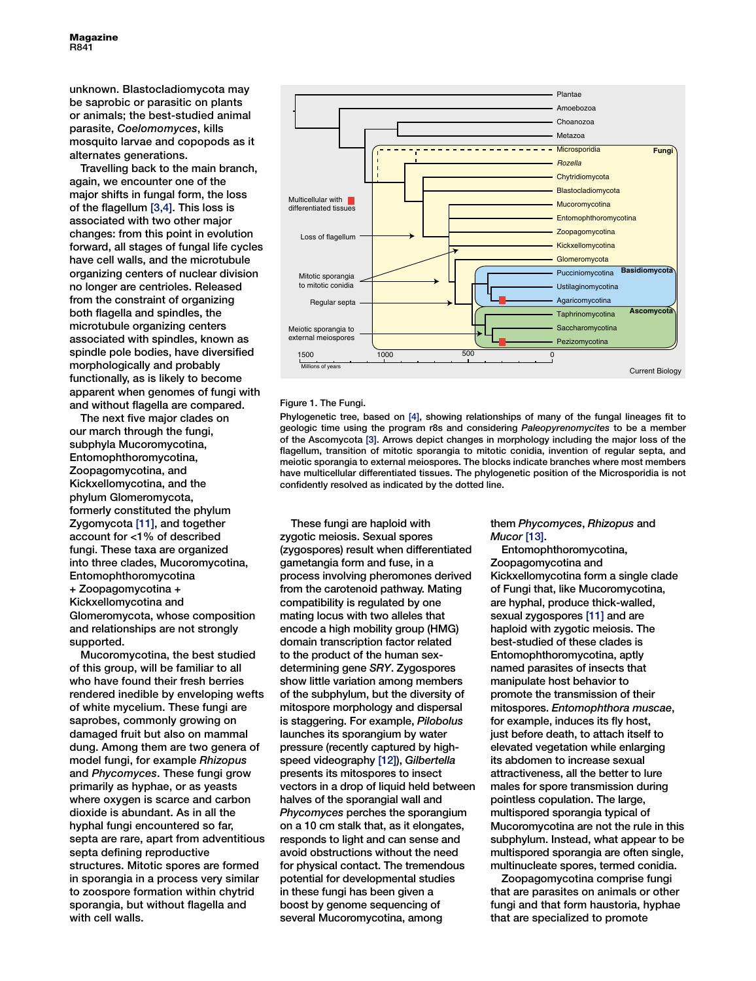<span id="page-1-0"></span>unknown. Blastocladiomycota may be saprobic or parasitic on plants or animals; the best-studied animal parasite, *Coelomomyces*, kills mosquito larvae and copopods as it alternates generations.

Travelling back to the main branch, again, we encounter one of the major shifts in fungal form, the loss of the flagellum [\[3,4\]](#page-5-0). This loss is associated with two other major changes: from this point in evolution forward, all stages of fungal life cycles have cell walls, and the microtubule organizing centers of nuclear division no longer are centrioles. Released from the constraint of organizing both flagella and spindles, the microtubule organizing centers associated with spindles, known as spindle pole bodies, have diversified morphologically and probably functionally, as is likely to become apparent when genomes of fungi with and without flagella are compared.

The next five major clades on our march through the fungi, subphyla Mucoromycotina, Entomophthoromycotina, Zoopagomycotina, and Kickxellomycotina, and the phylum Glomeromycota, formerly constituted the phylum Zygomycota [\[11\]](#page-5-0), and together account for <1% of described fungi. These taxa are organized into three clades, Mucoromycotina, Entomophthoromycotina + Zoopagomycotina + Kickxellomycotina and Glomeromycota, whose composition and relationships are not strongly supported.

Mucoromycotina, the best studied of this group, will be familiar to all who have found their fresh berries rendered inedible by enveloping wefts of white mycelium. These fungi are saprobes, commonly growing on damaged fruit but also on mammal dung. Among them are two genera of model fungi, for example *Rhizopus* and *Phycomyces*. These fungi grow primarily as hyphae, or as yeasts where oxygen is scarce and carbon dioxide is abundant. As in all the hyphal fungi encountered so far, septa are rare, apart from adventitious septa defining reproductive structures. Mitotic spores are formed in sporangia in a process very similar to zoospore formation within chytrid sporangia, but without flagella and with cell walls.



## Figure 1. The Fungi.

Phylogenetic tree, based on [4], showing relationships of many of the fungal lineages fit to geologic time using the program r8s and considering *Paleopyrenomycites* to be a member of the Ascomycota [3]. Arrows depict changes in morphology including the major loss of the flagellum, transition of mitotic sporangia to mitotic conidia, invention of regular septa, and meiotic sporangia to external meiospores. The blocks indicate branches where most members have multicellular differentiated tissues. The phylogenetic position of the Microsporidia is not confidently resolved as indicated by the dotted line.

These fungi are haploid with zygotic meiosis. Sexual spores (zygospores) result when differentiated gametangia form and fuse, in a process involving pheromones derived from the carotenoid pathway. Mating compatibility is regulated by one mating locus with two alleles that encode a high mobility group (HMG) domain transcription factor related to the product of the human sexdetermining gene *SRY*. Zygospores show little variation among members of the subphylum, but the diversity of mitospore morphology and dispersal is staggering. For example, *Pilobolus* launches its sporangium by water pressure (recently captured by highspeed videography [\[12\]](#page-5-0)), *Gilbertella* presents its mitospores to insect vectors in a drop of liquid held between halves of the sporangial wall and *Phycomyces* perches the sporangium on a 10 cm stalk that, as it elongates, responds to light and can sense and avoid obstructions without the need for physical contact. The tremendous potential for developmental studies in these fungi has been given a boost by genome sequencing of several Mucoromycotina, among

# them *Phycomyces*, *Rhizopus* and *Mucor* [\[13\].](#page-5-0)

Entomophthoromycotina, Zoopagomycotina and Kickxellomycotina form a single clade of Fungi that, like Mucoromycotina, are hyphal, produce thick-walled, sexual zygospores [\[11\]](#page-5-0) and are haploid with zygotic meiosis. The best-studied of these clades is Entomophthoromycotina, aptly named parasites of insects that manipulate host behavior to promote the transmission of their mitospores. *Entomophthora muscae*, for example, induces its fly host, just before death, to attach itself to elevated vegetation while enlarging its abdomen to increase sexual attractiveness, all the better to lure males for spore transmission during pointless copulation. The large, multispored sporangia typical of Mucoromycotina are not the rule in this subphylum. Instead, what appear to be multispored sporangia are often single, multinucleate spores, termed conidia.

Zoopagomycotina comprise fungi that are parasites on animals or other fungi and that form haustoria, hyphae that are specialized to promote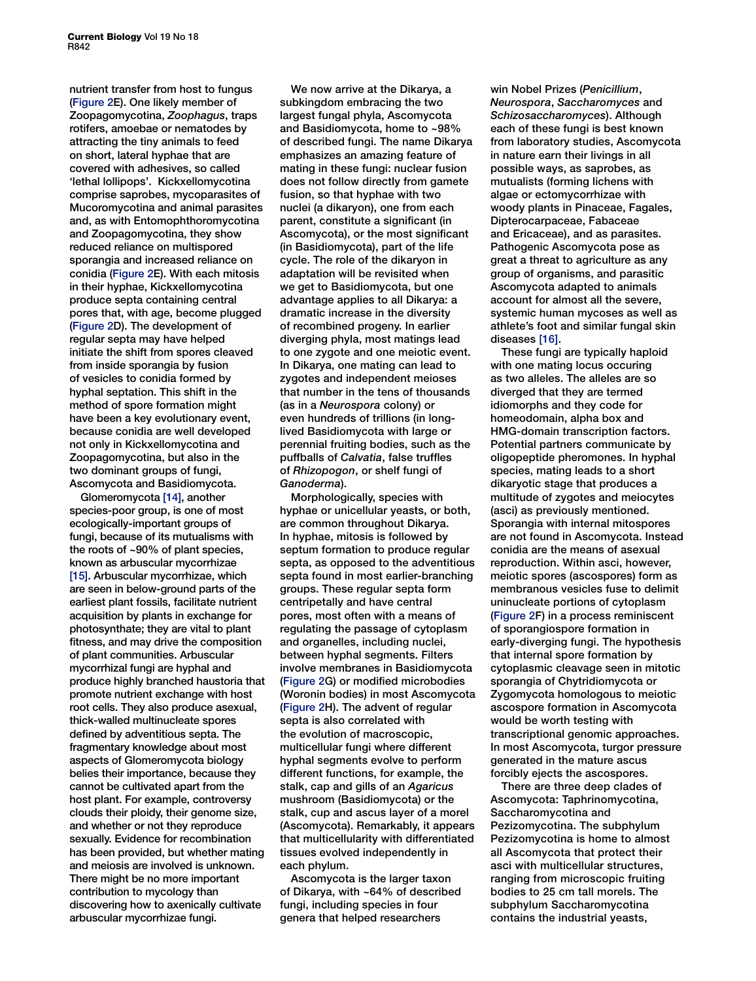nutrient transfer from host to fungus [\(Figure 2E\)](#page-3-0). One likely member of Zoopagomycotina, *Zoophagus*, traps rotifers, amoebae or nematodes by attracting the tiny animals to feed on short, lateral hyphae that are covered with adhesives, so called 'lethal lollipops'. Kickxellomycotina comprise saprobes, mycoparasites of Mucoromycotina and animal parasites and, as with Entomophthoromycotina and Zoopagomycotina, they show reduced reliance on multispored sporangia and increased reliance on conidia [\(Figure 2E\)](#page-3-0). With each mitosis in their hyphae, Kickxellomycotina produce septa containing central pores that, with age, become plugged [\(Figure 2D\)](#page-3-0). The development of regular septa may have helped initiate the shift from spores cleaved from inside sporangia by fusion of vesicles to conidia formed by hyphal septation. This shift in the method of spore formation might have been a key evolutionary event, because conidia are well developed not only in Kickxellomycotina and Zoopagomycotina, but also in the two dominant groups of fungi, Ascomycota and Basidiomycota.

Glomeromycota [\[14\],](#page-5-0) another species-poor group, is one of most ecologically-important groups of fungi, because of its mutualisms with the roots of ~90% of plant species, known as arbuscular mycorrhizae [\[15\]](#page-5-0). Arbuscular mycorrhizae, which are seen in below-ground parts of the earliest plant fossils, facilitate nutrient acquisition by plants in exchange for photosynthate; they are vital to plant fitness, and may drive the composition of plant communities. Arbuscular mycorrhizal fungi are hyphal and produce highly branched haustoria that promote nutrient exchange with host root cells. They also produce asexual, thick-walled multinucleate spores defined by adventitious septa. The fragmentary knowledge about most aspects of Glomeromycota biology belies their importance, because they cannot be cultivated apart from the host plant. For example, controversy clouds their ploidy, their genome size, and whether or not they reproduce sexually. Evidence for recombination has been provided, but whether mating and meiosis are involved is unknown. There might be no more important contribution to mycology than discovering how to axenically cultivate arbuscular mycorrhizae fungi.

We now arrive at the Dikarya, a subkingdom embracing the two largest fungal phyla, Ascomycota and Basidiomycota, home to ~98% of described fungi. The name Dikarya emphasizes an amazing feature of mating in these fungi: nuclear fusion does not follow directly from gamete fusion, so that hyphae with two nuclei (a dikaryon), one from each parent, constitute a significant (in Ascomycota), or the most significant (in Basidiomycota), part of the life cycle. The role of the dikaryon in adaptation will be revisited when we get to Basidiomycota, but one advantage applies to all Dikarya: a dramatic increase in the diversity of recombined progeny. In earlier diverging phyla, most matings lead to one zygote and one meiotic event. In Dikarya, one mating can lead to zygotes and independent meioses that number in the tens of thousands (as in a *Neurospora* colony) or even hundreds of trillions (in longlived Basidiomycota with large or perennial fruiting bodies, such as the puffballs of *Calvatia*, false truffles of *Rhizopogon*, or shelf fungi of *Ganoderma*).

Morphologically, species with hyphae or unicellular yeasts, or both, are common throughout Dikarya. In hyphae, mitosis is followed by septum formation to produce regular septa, as opposed to the adventitious septa found in most earlier-branching groups. These regular septa form centripetally and have central pores, most often with a means of regulating the passage of cytoplasm and organelles, including nuclei, between hyphal segments. Filters involve membranes in Basidiomycota [\(Figure 2G\)](#page-3-0) or modified microbodies (Woronin bodies) in most Ascomycota [\(Figure 2H\)](#page-3-0). The advent of regular septa is also correlated with the evolution of macroscopic, multicellular fungi where different hyphal segments evolve to perform different functions, for example, the stalk, cap and gills of an *Agaricus* mushroom (Basidiomycota) or the stalk, cup and ascus layer of a morel (Ascomycota). Remarkably, it appears that multicellularity with differentiated tissues evolved independently in each phylum.

Ascomycota is the larger taxon of Dikarya, with ~64% of described fungi, including species in four genera that helped researchers

win Nobel Prizes (*Penicillium*, *Neurospora*, *Saccharomyces* and *Schizosaccharomyces*). Although each of these fungi is best known from laboratory studies, Ascomycota in nature earn their livings in all possible ways, as saprobes, as mutualists (forming lichens with algae or ectomycorrhizae with woody plants in Pinaceae, Fagales, Dipterocarpaceae, Fabaceae and Ericaceae), and as parasites. Pathogenic Ascomycota pose as great a threat to agriculture as any group of organisms, and parasitic Ascomycota adapted to animals account for almost all the severe, systemic human mycoses as well as athlete's foot and similar fungal skin diseases [\[16\]](#page-5-0).

These fungi are typically haploid with one mating locus occuring as two alleles. The alleles are so diverged that they are termed idiomorphs and they code for homeodomain, alpha box and HMG-domain transcription factors. Potential partners communicate by oligopeptide pheromones. In hyphal species, mating leads to a short dikaryotic stage that produces a multitude of zygotes and meiocytes (asci) as previously mentioned. Sporangia with internal mitospores are not found in Ascomycota. Instead conidia are the means of asexual reproduction. Within asci, however, meiotic spores (ascospores) form as membranous vesicles fuse to delimit uninucleate portions of cytoplasm [\(Figure 2F\)](#page-3-0) in a process reminiscent of sporangiospore formation in early-diverging fungi. The hypothesis that internal spore formation by cytoplasmic cleavage seen in mitotic sporangia of Chytridiomycota or Zygomycota homologous to meiotic ascospore formation in Ascomycota would be worth testing with transcriptional genomic approaches. In most Ascomycota, turgor pressure generated in the mature ascus forcibly ejects the ascospores.

There are three deep clades of Ascomycota: Taphrinomycotina, Saccharomycotina and Pezizomycotina. The subphylum Pezizomycotina is home to almost all Ascomycota that protect their asci with multicellular structures, ranging from microscopic fruiting bodies to 25 cm tall morels. The subphylum Saccharomycotina contains the industrial yeasts,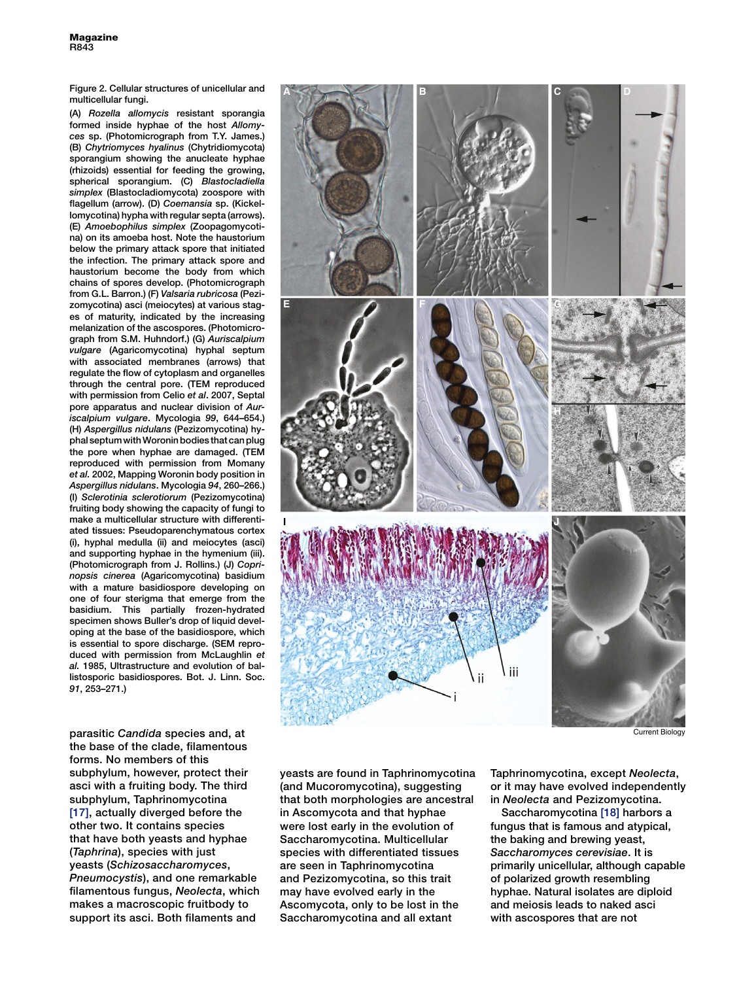<span id="page-3-0"></span>Figure 2. Cellular structures of unicellular and multicellular fungi.

(A) *Rozella allomycis* resistant sporangia formed inside hyphae of the host *Allomyces* sp. (Photomicrograph from T.Y. James.) (B) *Chytriomyces hyalinus* (Chytridiomycota) sporangium showing the anucleate hyphae (rhizoids) essential for feeding the growing, spherical sporangium. (C) *Blastocladiella simplex* (Blastocladiomycota) zoospore with flagellum (arrow). (D) *Coemansia* sp. (Kickellomycotina) hypha with regular septa (arrows). (E) *Amoebophilus simplex* (Zoopagomycotina) on its amoeba host. Note the haustorium below the primary attack spore that initiated the infection. The primary attack spore and haustorium become the body from which chains of spores develop. (Photomicrograph from G.L. Barron.) (F) *Valsaria rubricosa* (Pezizomycotina) asci (meiocytes) at various stages of maturity, indicated by the increasing melanization of the ascospores. (Photomicrograph from S.M. Huhndorf.) (G) *Auriscalpium vulgare* (Agaricomycotina) hyphal septum with associated membranes (arrows) that regulate the flow of cytoplasm and organelles through the central pore. (TEM reproduced with permission from Celio *et al*. 2007, Septal pore apparatus and nuclear division of *Auriscalpium vulgare*. Mycologia *99*, 644–654.) (H) *Aspergillus nidulans* (Pezizomycotina) hyphal septum with Woronin bodies that can plug the pore when hyphae are damaged. (TEM reproduced with permission from Momany *et al.* 2002, Mapping Woronin body position in *Aspergillus nidulans*. Mycologia *94*, 260–266.) (I) *Sclerotinia sclerotiorum* (Pezizomycotina) fruiting body showing the capacity of fungi to make a multicellular structure with differentiated tissues: Pseudoparenchymatous cortex (i), hyphal medulla (ii) and meiocytes (asci) and supporting hyphae in the hymenium (iii). (Photomicrograph from J. Rollins.) (J) *Coprinopsis cinerea* (Agaricomycotina) basidium with a mature basidiospore developing on one of four sterigma that emerge from the basidium. This partially frozen-hydrated specimen shows Buller's drop of liquid developing at the base of the basidiospore, which is essential to spore discharge. (SEM reproduced with permission from McLaughlin *et al.* 1985, Ultrastructure and evolution of ballistosporic basidiospores. Bot. J. Linn. Soc. *91*, 253–271.)

parasitic *Candida* species and, at the base of the clade, filamentous forms. No members of this subphylum, however, protect their asci with a fruiting body. The third subphylum, Taphrinomycotina [\[17\]](#page-5-0), actually diverged before the other two. It contains species that have both yeasts and hyphae (*Taphrina*), species with just yeasts (*Schizosaccharomyces*, *Pneumocystis*), and one remarkable filamentous fungus, *Neolecta*, which makes a macroscopic fruitbody to support its asci. Both filaments and



yeasts are found in Taphrinomycotina (and Mucoromycotina), suggesting that both morphologies are ancestral in Ascomycota and that hyphae were lost early in the evolution of Saccharomycotina. Multicellular species with differentiated tissues are seen in Taphrinomycotina and Pezizomycotina, so this trait may have evolved early in the Ascomycota, only to be lost in the Saccharomycotina and all extant

Current Biology

Taphrinomycotina, except *Neolecta*, or it may have evolved independently in *Neolecta* and Pezizomycotina.

Saccharomycotina [\[18\]](#page-5-0) harbors a fungus that is famous and atypical, the baking and brewing yeast, *Saccharomyces cerevisiae*. It is primarily unicellular, although capable of polarized growth resembling hyphae. Natural isolates are diploid and meiosis leads to naked asci with ascospores that are not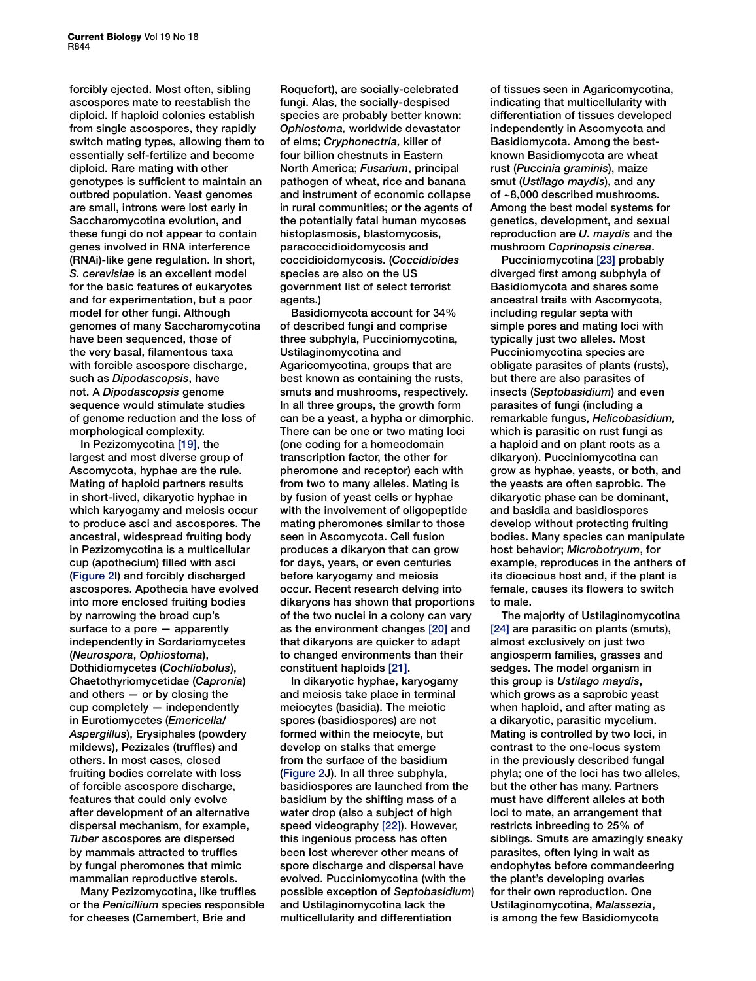forcibly ejected. Most often, sibling ascospores mate to reestablish the diploid. If haploid colonies establish from single ascospores, they rapidly switch mating types, allowing them to essentially self-fertilize and become diploid. Rare mating with other genotypes is sufficient to maintain an outbred population. Yeast genomes are small, introns were lost early in Saccharomycotina evolution, and these fungi do not appear to contain genes involved in RNA interference (RNAi)-like gene regulation. In short, *S. cerevisiae* is an excellent model for the basic features of eukaryotes and for experimentation, but a poor model for other fungi. Although genomes of many Saccharomycotina have been sequenced, those of the very basal, filamentous taxa with forcible ascospore discharge, such as *Dipodascopsis*, have not. A *Dipodascopsis* genome sequence would stimulate studies of genome reduction and the loss of morphological complexity.

In Pezizomycotina [\[19\]](#page-5-0), the largest and most diverse group of Ascomycota, hyphae are the rule. Mating of haploid partners results in short-lived, dikaryotic hyphae in which karyogamy and meiosis occur to produce asci and ascospores. The ancestral, widespread fruiting body in Pezizomycotina is a multicellular cup (apothecium) filled with asci (Figure 2I) and forcibly discharged ascospores. Apothecia have evolved into more enclosed fruiting bodies by narrowing the broad cup's surface to a pore — apparently independently in Sordariomycetes (*Neurospora*, *Ophiostoma*), Dothidiomycetes (*Cochliobolus*), Chaetothyriomycetidae (*Capronia*) and others — or by closing the cup completely — independently in Eurotiomycetes (*Emericella*/ *Aspergillus*), Erysiphales (powdery mildews), Pezizales (truffles) and others. In most cases, closed fruiting bodies correlate with loss of forcible ascospore discharge, features that could only evolve after development of an alternative dispersal mechanism, for example, *Tuber* ascospores are dispersed by mammals attracted to truffles by fungal pheromones that mimic mammalian reproductive sterols.

Many Pezizomycotina, like truffles or the *Penicillium* species responsible for cheeses (Camembert, Brie and

Roquefort), are socially-celebrated fungi. Alas, the socially-despised species are probably better known: *Ophiostoma,* worldwide devastator of elms; *Cryphonectria,* killer of four billion chestnuts in Eastern North America; *Fusarium*, principal pathogen of wheat, rice and banana and instrument of economic collapse in rural communities; or the agents of the potentially fatal human mycoses histoplasmosis, blastomycosis, paracoccidioidomycosis and coccidioidomycosis. (*Coccidioides* species are also on the US government list of select terrorist agents.)

Basidiomycota account for 34% of described fungi and comprise three subphyla, Pucciniomycotina, Ustilaginomycotina and Agaricomycotina, groups that are best known as containing the rusts, smuts and mushrooms, respectively. In all three groups, the growth form can be a yeast, a hypha or dimorphic. There can be one or two mating loci (one coding for a homeodomain transcription factor, the other for pheromone and receptor) each with from two to many alleles. Mating is by fusion of yeast cells or hyphae with the involvement of oligopeptide mating pheromones similar to those seen in Ascomycota. Cell fusion produces a dikaryon that can grow for days, years, or even centuries before karyogamy and meiosis occur. Recent research delving into dikaryons has shown that proportions of the two nuclei in a colony can vary as the environment changes [\[20\]](#page-5-0) and that dikaryons are quicker to adapt to changed environments than their constituent haploids [\[21\].](#page-5-0)

In dikaryotic hyphae, karyogamy and meiosis take place in terminal meiocytes (basidia). The meiotic spores (basidiospores) are not formed within the meiocyte, but develop on stalks that emerge from the surface of the basidium [\(Figure 2J\)](#page-3-0). In all three subphyla, basidiospores are launched from the basidium by the shifting mass of a water drop (also a subject of high speed videography [\[22\]\)](#page-5-0). However, this ingenious process has often been lost wherever other means of spore discharge and dispersal have evolved. Pucciniomycotina (with the possible exception of *Septobasidium*) and Ustilaginomycotina lack the multicellularity and differentiation

of tissues seen in Agaricomycotina, indicating that multicellularity with differentiation of tissues developed independently in Ascomycota and Basidiomycota. Among the bestknown Basidiomycota are wheat rust (*Puccinia graminis*), maize smut (*Ustilago maydis*), and any of ~8,000 described mushrooms. Among the best model systems for genetics, development, and sexual reproduction are *U. maydis* and the mushroom *Coprinopsis cinerea*.

Pucciniomycotina [\[23\]](#page-5-0) probably diverged first among subphyla of Basidiomycota and shares some ancestral traits with Ascomycota, including regular septa with simple pores and mating loci with typically just two alleles. Most Pucciniomycotina species are obligate parasites of plants (rusts), but there are also parasites of insects (*Septobasidium*) and even parasites of fungi (including a remarkable fungus, *Helicobasidium,* which is parasitic on rust fungi as a haploid and on plant roots as a dikaryon). Pucciniomycotina can grow as hyphae, yeasts, or both, and the yeasts are often saprobic. The dikaryotic phase can be dominant, and basidia and basidiospores develop without protecting fruiting bodies. Many species can manipulate host behavior; *Microbotryum*, for example, reproduces in the anthers of its dioecious host and, if the plant is female, causes its flowers to switch to male.

The majority of Ustilaginomycotina [\[24\]](#page-5-0) are parasitic on plants (smuts), almost exclusively on just two angiosperm families, grasses and sedges. The model organism in this group is *Ustilago maydis*, which grows as a saprobic yeast when haploid, and after mating as a dikaryotic, parasitic mycelium. Mating is controlled by two loci, in contrast to the one-locus system in the previously described fungal phyla; one of the loci has two alleles, but the other has many. Partners must have different alleles at both loci to mate, an arrangement that restricts inbreeding to 25% of siblings. Smuts are amazingly sneaky parasites, often lying in wait as endophytes before commandeering the plant's developing ovaries for their own reproduction. One Ustilaginomycotina, *Malassezia*, is among the few Basidiomycota